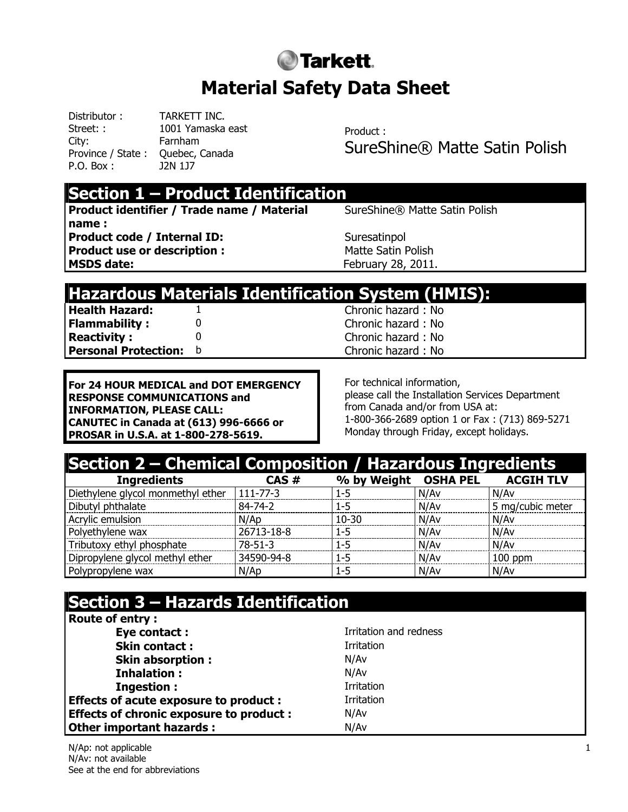# **O**Tarkett. **Material Safety Data Sheet**

Distributor : TARKETT INC. Street: : 1001 Yamaska east City: Farnham Province / State : Quebec, Canada P.O. Box : J2N 1J7

Product : SureShine® Matte Satin Polish

#### **Section 1 – Product Identification**

**Product identifier / Trade name / Material name : Product code / Internal ID:** Suresatinpol **Product use or description : Matte Satin Polish** MSDS date: **February 28, 2011.** 

SureShine® Matte Satin Polish

#### **Hazardous Materials Identification System (HMIS):**

**Health Hazard:** 1 Chronic hazard : No **Flammability :** 0 0 0 0 Chronic hazard : No **Reactivity :** 0 0 Chronic hazard : No **Personal Protection: b** Chronic hazard : No

**For 24 HOUR MEDICAL and DOT EMERGENCY RESPONSE COMMUNICATIONS and INFORMATION, PLEASE CALL: CANUTEC in Canada at (613) 996-6666 or PROSAR in U.S.A. at 1-800-278-5619.**

For technical information, please call the Installation Services Department from Canada and/or from USA at: 1-800-366-2689 option 1 or Fax : (713) 869-5271 Monday through Friday, except holidays.

| Section 2 – Chemical Composition / Hazardous Ingredients |               |                                |      |                  |
|----------------------------------------------------------|---------------|--------------------------------|------|------------------|
| <b>Ingredients</b>                                       | CAS#          | % by Weight OSHA PEL ACGIH TLV |      |                  |
| Diethylene glycol monmethyl ether   111-77-3             |               | $1 - 5$                        | N/Av | N/Av             |
| Dibutyl phthalate                                        | 84-74-2       | $1 - 5$                        | N/Av | 5 mg/cubic meter |
| Acrylic emulsion                                         | N/AD          | $10 - 30$                      | N/Av | N/Av             |
| Polyethylene wax                                         | 26713-18-8    | $1 - 5$                        | N/Av | N/Av             |
| Tributoxy ethyl phosphate                                | $78 - 51 - 3$ | $1 - 5$                        | N/Av | N/Av             |
| Dipropylene glycol methyl ether                          | 34590-94-8    | 1-5                            | N/Av | $100$ ppm        |
| Polypropylene wax                                        | N/Ap          | $1 - 5$                        | N/Av | N/Av             |

## **Section 3 – Hazards Identification**

| <b>Route of entry:</b>                         |                        |
|------------------------------------------------|------------------------|
| Eye contact:                                   | Irritation and redness |
| <b>Skin contact:</b>                           | Irritation             |
| <b>Skin absorption:</b>                        | N/Av                   |
| <b>Inhalation:</b>                             | N/Av                   |
| <b>Ingestion:</b>                              | Irritation             |
| <b>Effects of acute exposure to product:</b>   | Irritation             |
| <b>Effects of chronic exposure to product:</b> | N/Av                   |
| Other important hazards :                      | N/Av                   |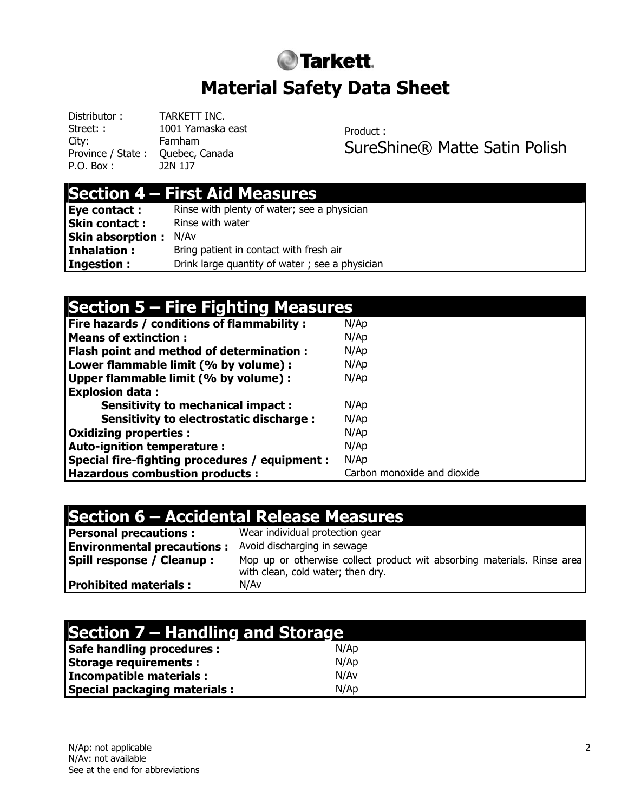# **Tarkett. Material Safety Data Sheet**

Distributor : TARKETT INC. Street: : 1001 Yamaska east City: Farnham Province / State : Ouebec, Canada P.O. Box : J2N 1J7

Product : SureShine® Matte Satin Polish

#### **Section 4 – First Aid Measures**

| Eye contact :           | Rinse with plenty of water; see a physician    |
|-------------------------|------------------------------------------------|
| <b>Skin contact:</b>    | Rinse with water                               |
| <b>Skin absorption:</b> | N/Av                                           |
| Inhalation:             | Bring patient in contact with fresh air        |
| <b>Ingestion:</b>       | Drink large quantity of water; see a physician |

| Section 5 – Fire Fighting Measures             |                             |  |
|------------------------------------------------|-----------------------------|--|
| Fire hazards / conditions of flammability :    | N/Ap                        |  |
| <b>Means of extinction:</b>                    | N/Ap                        |  |
| Flash point and method of determination :      | N/Ap                        |  |
| Lower flammable limit (% by volume) :          | N/Ap                        |  |
| Upper flammable limit (% by volume) :          | N/Ap                        |  |
| <b>Explosion data:</b>                         |                             |  |
| <b>Sensitivity to mechanical impact:</b>       | N/Ap                        |  |
| Sensitivity to electrostatic discharge :       | N/Ap                        |  |
| <b>Oxidizing properties:</b>                   | N/Ap                        |  |
| <b>Auto-ignition temperature:</b>              | N/Ap                        |  |
| Special fire-fighting procedures / equipment : | N/Ap                        |  |
| <b>Hazardous combustion products:</b>          | Carbon monoxide and dioxide |  |

## **Section 6 – Accidental Release Measures**

| Personal precautions:            | Wear individual protection gear                                                                              |
|----------------------------------|--------------------------------------------------------------------------------------------------------------|
| Environmental precautions :      | Avoid discharging in sewage                                                                                  |
| <b>Spill response / Cleanup:</b> | Mop up or otherwise collect product wit absorbing materials. Rinse area<br>with clean, cold water; then dry. |
| Prohibited materials :           | N/Av                                                                                                         |

| Section 7 – Handling and Storage    |      |  |
|-------------------------------------|------|--|
| <b>Safe handling procedures:</b>    | N/Ap |  |
| <b>Storage requirements:</b>        | N/Ap |  |
| Incompatible materials :            | N/Av |  |
| <b>Special packaging materials:</b> | N/Ap |  |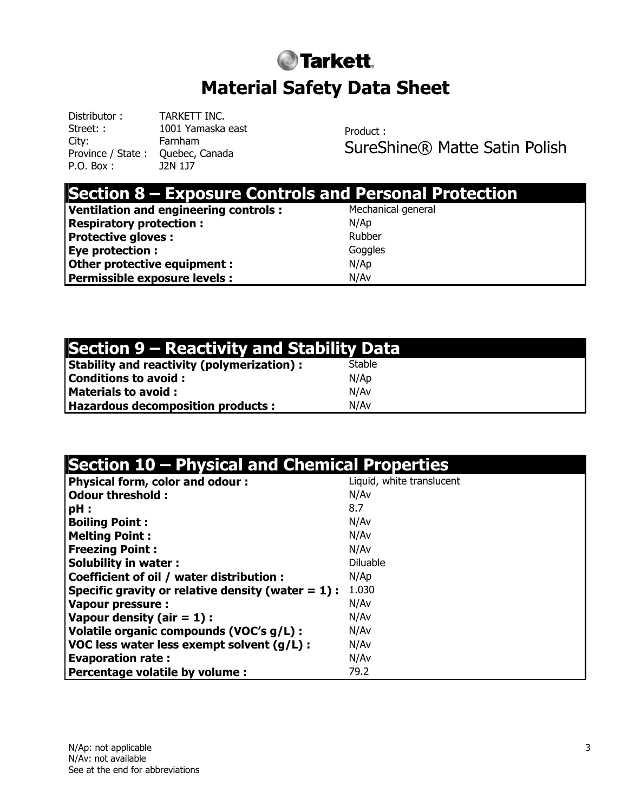# **Tarkett. Material Safety Data Sheet**

Distributor : TARKETT INC. Street: : 1001 Yamaska east City: Farnham Province / State : Quebec, Canada P.O. Box : J2N 1J7

Product : SureShine® Matte Satin Polish

| <b>Section 8 - Exposure Controls and Personal Protection</b> |                    |
|--------------------------------------------------------------|--------------------|
| Ventilation and engineering controls:                        | Mechanical general |
| <b>Respiratory protection:</b>                               | N/Ap               |
| <b>Protective gloves:</b>                                    | Rubber             |
| <b>Eye protection :</b>                                      | Goggles            |
| Other protective equipment :                                 | N/Ap               |
| Permissible exposure levels :                                | N/Av               |

## **Section 9 – Reactivity and Stability Data**

| <b>Stability and reactivity (polymerization):</b> | Stable |
|---------------------------------------------------|--------|
| <b>Conditions to avoid:</b>                       | N/Ap   |
| <b>Materials to avoid:</b>                        | N/Av   |
| <b>Hazardous decomposition products:</b>          | N/Av   |

#### **Section 10 – Physical and Chemical Properties**

| <b>Physical form, color and odour:</b>               | Liquid, white translucent |
|------------------------------------------------------|---------------------------|
| <b>Odour threshold:</b>                              | N/Av                      |
| $pH$ :                                               | 8.7                       |
| <b>Boiling Point:</b>                                | N/Av                      |
| <b>Melting Point:</b>                                | N/Av                      |
| <b>Freezing Point:</b>                               | N/Av                      |
| <b>Solubility in water:</b>                          | <b>Diluable</b>           |
| Coefficient of oil / water distribution :            | N/Ap                      |
| Specific gravity or relative density (water $= 1$ ): | 1.030                     |
| <b>Vapour pressure:</b>                              | N/Av                      |
| Vapour density (air $= 1$ ) :                        | N/Av                      |
| Volatile organic compounds (VOC's g/L) :             | N/Av                      |
| VOC less water less exempt solvent (g/L) :           | N/Av                      |
| <b>Evaporation rate:</b>                             | N/Av                      |
| Percentage volatile by volume :                      | 79.2                      |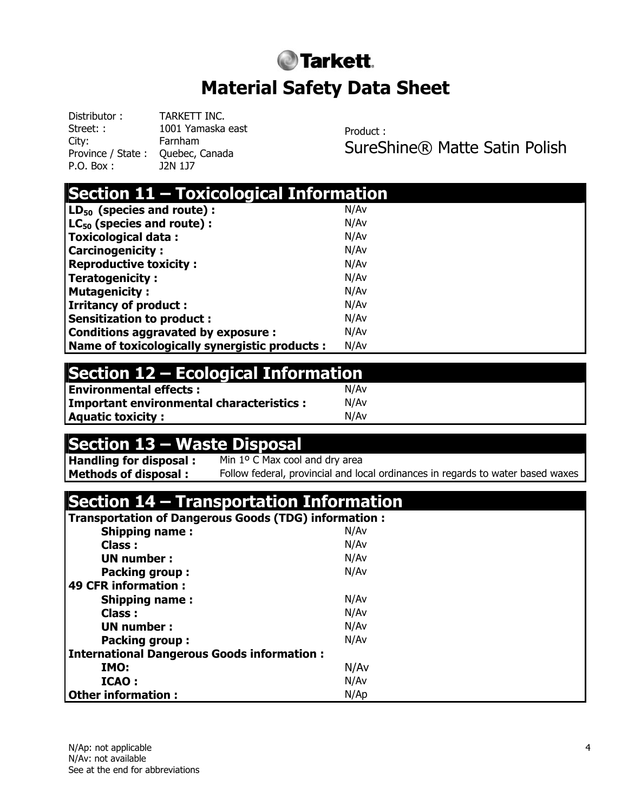# **O**Tarkett. **Material Safety Data Sheet**

Distributor : TARKETT INC. Street: : 1001 Yamaska east City: Farnham Province / State : Quebec, Canada P.O. Box : J2N 1J7

Product : SureShine® Matte Satin Polish

| Section 11 - Toxicological Information         |      |  |
|------------------------------------------------|------|--|
| $\mathsf{LD}_{50}$ (species and route):        | N/Av |  |
| $LC_{50}$ (species and route):                 | N/Av |  |
| Toxicological data:                            | N/Av |  |
| <b>Carcinogenicity:</b>                        | N/Av |  |
| <b>Reproductive toxicity:</b>                  | N/Av |  |
| Teratogenicity :                               | N/Av |  |
| Mutagenicity:                                  | N/Av |  |
| <b>Irritancy of product:</b>                   | N/Av |  |
| Sensitization to product :                     | N/Av |  |
| Conditions aggravated by exposure :            | N/Av |  |
| Name of toxicologically synergistic products : | N/Av |  |

## **Section 12 – Ecological Information**

| <b>Environmental effects:</b>                   | N/Av |
|-------------------------------------------------|------|
| <b>Important environmental characteristics:</b> | N/Av |
| <b>Aquatic toxicity:</b>                        | N/Av |

# **Section 13 – Waste Disposal**<br>**Handling for disposal :** Min 1º C Max cool

Min 1º C Max cool and dry area

**Methods of disposal :** Follow federal, provincial and local ordinances in regards to water based waxes

## **Section 14 – Transportation Information**

| Transportation of Dangerous Goods (TDG) information : |      |  |
|-------------------------------------------------------|------|--|
| <b>Shipping name:</b>                                 | N/Av |  |
| Class :                                               | N/Av |  |
| UN number:                                            | N/Av |  |
| <b>Packing group:</b>                                 | N/Av |  |
| 49 CFR information:                                   |      |  |
| <b>Shipping name:</b>                                 | N/Av |  |
| Class:                                                | N/Av |  |
| UN number:                                            | N/Av |  |
| <b>Packing group:</b>                                 | N/Av |  |
| <b>International Dangerous Goods information:</b>     |      |  |
| IMO:                                                  | N/Av |  |
| ICAO:                                                 | N/Av |  |
| <b>Other information:</b>                             | N/Ap |  |